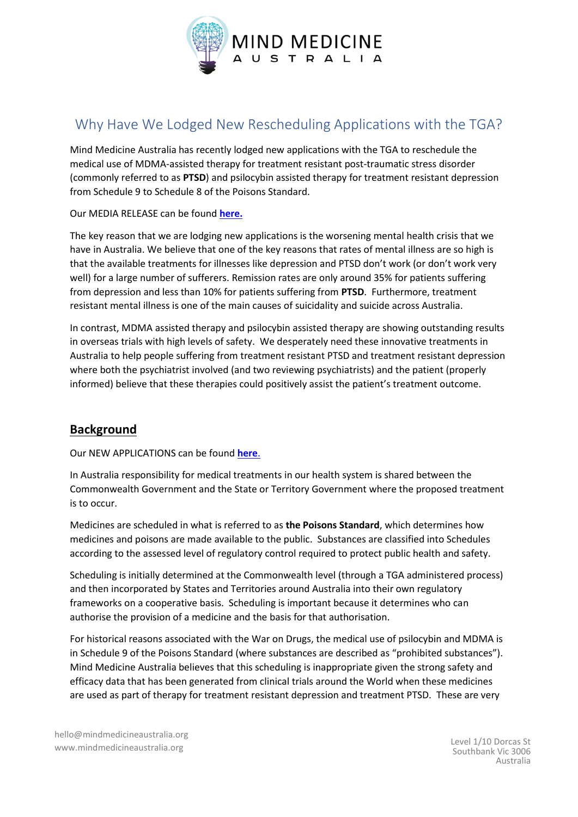

# Why Have We Lodged New Rescheduling Applications with the TGA?

Mind Medicine Australia has recently lodged new applications with the TGA to reschedule the medical use of MDMA-assisted therapy for treatment resistant post-traumatic stress disorder (commonly referred to as **PTSD**) and psilocybin assisted therapy for treatment resistant depression from Schedule 9 to Schedule 8 of the Poisons Standard.

Our MEDIA RELEASE can be found **[here.](https://mindmedicineaustralia.org.au/wp-content/uploads/Media-Alert_TGA_Submission_170322.pdf)**

The key reason that we are lodging new applications is the worsening mental health crisis that we have in Australia. We believe that one of the key reasons that rates of mental illness are so high is that the available treatments for illnesses like depression and PTSD don't work (or don't work very well) for a large number of sufferers. Remission rates are only around 35% for patients suffering from depression and less than 10% for patients suffering from **PTSD**. Furthermore, treatment resistant mental illness is one of the main causes of suicidality and suicide across Australia.

In contrast, MDMA assisted therapy and psilocybin assisted therapy are showing outstanding results in overseas trials with high levels of safety. We desperately need these innovative treatments in Australia to help people suffering from treatment resistant PTSD and treatment resistant depression where both the psychiatrist involved (and two reviewing psychiatrists) and the patient (properly informed) believe that these therapies could positively assist the patient's treatment outcome.

## **Background**

Our NEW APPLICATIONS can be found **[here](https://mindmedicineaustralia.org/tga)**.

In Australia responsibility for medical treatments in our health system is shared between the Commonwealth Government and the State or Territory Government where the proposed treatment is to occur.

Medicines are scheduled in what is referred to as **the Poisons Standard**, which determines how medicines and poisons are made available to the public. Substances are classified into Schedules according to the assessed level of regulatory control required to protect public health and safety.

Scheduling is initially determined at the Commonwealth level (through a TGA administered process) and then incorporated by States and Territories around Australia into their own regulatory frameworks on a cooperative basis. Scheduling is important because it determines who can authorise the provision of a medicine and the basis for that authorisation.

For historical reasons associated with the War on Drugs, the medical use of psilocybin and MDMA is in Schedule 9 of the Poisons Standard (where substances are described as "prohibited substances"). Mind Medicine Australia believes that this scheduling is inappropriate given the strong safety and efficacy data that has been generated from clinical trials around the World when these medicines are used as part of therapy for treatment resistant depression and treatment PTSD. These are very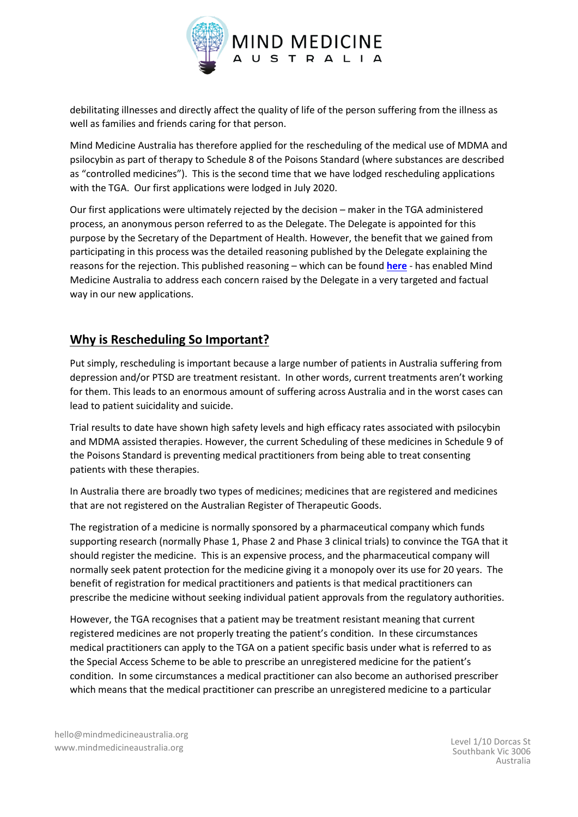

debilitating illnesses and directly affect the quality of life of the person suffering from the illness as well as families and friends caring for that person.

Mind Medicine Australia has therefore applied for the rescheduling of the medical use of MDMA and psilocybin as part of therapy to Schedule 8 of the Poisons Standard (where substances are described as "controlled medicines"). This is the second time that we have lodged rescheduling applications with the TGA. Our first applications were lodged in July 2020.

Our first applications were ultimately rejected by the decision – maker in the TGA administered process, an anonymous person referred to as the Delegate. The Delegate is appointed for this purpose by the Secretary of the Department of Health. However, the benefit that we gained from participating in this process was the detailed reasoning published by the Delegate explaining the reasons for the rejection. This published reasoning – which can be found **[here](https://www.tga.gov.au/scheduling-decision-final/notice-final-decisions-amend-or-not-amend-current-poisons-standard-relation-psilocybin-and-mdma)** - has enabled Mind Medicine Australia to address each concern raised by the Delegate in a very targeted and factual way in our new applications.

### **Why is Rescheduling So Important?**

Put simply, rescheduling is important because a large number of patients in Australia suffering from depression and/or PTSD are treatment resistant. In other words, current treatments aren't working for them. This leads to an enormous amount of suffering across Australia and in the worst cases can lead to patient suicidality and suicide.

Trial results to date have shown high safety levels and high efficacy rates associated with psilocybin and MDMA assisted therapies. However, the current Scheduling of these medicines in Schedule 9 of the Poisons Standard is preventing medical practitioners from being able to treat consenting patients with these therapies.

In Australia there are broadly two types of medicines; medicines that are registered and medicines that are not registered on the Australian Register of Therapeutic Goods.

The registration of a medicine is normally sponsored by a pharmaceutical company which funds supporting research (normally Phase 1, Phase 2 and Phase 3 clinical trials) to convince the TGA that it should register the medicine. This is an expensive process, and the pharmaceutical company will normally seek patent protection for the medicine giving it a monopoly over its use for 20 years. The benefit of registration for medical practitioners and patients is that medical practitioners can prescribe the medicine without seeking individual patient approvals from the regulatory authorities.

However, the TGA recognises that a patient may be treatment resistant meaning that current registered medicines are not properly treating the patient's condition. In these circumstances medical practitioners can apply to the TGA on a patient specific basis under what is referred to as the Special Access Scheme to be able to prescribe an unregistered medicine for the patient's condition. In some circumstances a medical practitioner can also become an authorised prescriber which means that the medical practitioner can prescribe an unregistered medicine to a particular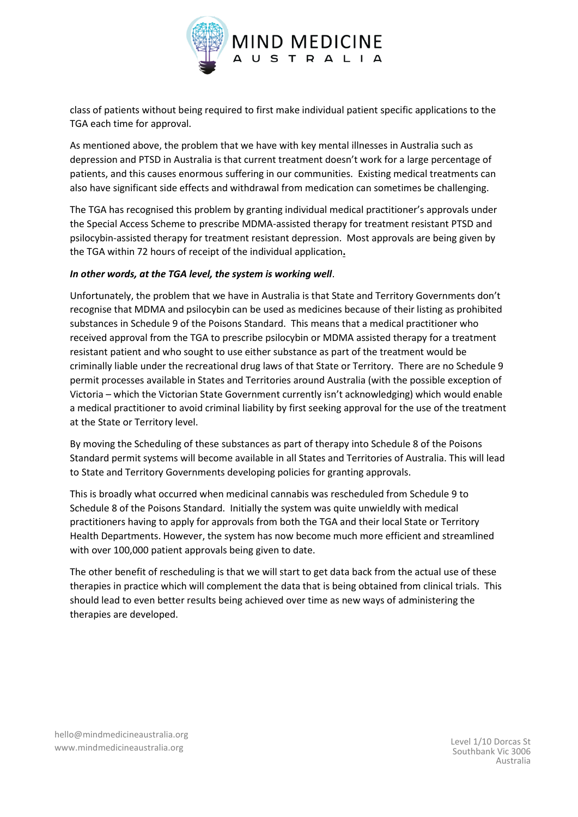

class of patients without being required to first make individual patient specific applications to the TGA each time for approval.

As mentioned above, the problem that we have with key mental illnesses in Australia such as depression and PTSD in Australia is that current treatment doesn't work for a large percentage of patients, and this causes enormous suffering in our communities. Existing medical treatments can also have significant side effects and withdrawal from medication can sometimes be challenging.

The TGA has recognised this problem by granting individual medical practitioner's approvals under the Special Access Scheme to prescribe MDMA-assisted therapy for treatment resistant PTSD and psilocybin-assisted therapy for treatment resistant depression. Most approvals are being given by the TGA within 72 hours of receipt of the individual application**.** 

#### *In other words, at the TGA level, the system is working well*.

Unfortunately, the problem that we have in Australia is that State and Territory Governments don't recognise that MDMA and psilocybin can be used as medicines because of their listing as prohibited substances in Schedule 9 of the Poisons Standard. This means that a medical practitioner who received approval from the TGA to prescribe psilocybin or MDMA assisted therapy for a treatment resistant patient and who sought to use either substance as part of the treatment would be criminally liable under the recreational drug laws of that State or Territory. There are no Schedule 9 permit processes available in States and Territories around Australia (with the possible exception of Victoria – which the Victorian State Government currently isn't acknowledging) which would enable a medical practitioner to avoid criminal liability by first seeking approval for the use of the treatment at the State or Territory level.

By moving the Scheduling of these substances as part of therapy into Schedule 8 of the Poisons Standard permit systems will become available in all States and Territories of Australia. This will lead to State and Territory Governments developing policies for granting approvals.

This is broadly what occurred when medicinal cannabis was rescheduled from Schedule 9 to Schedule 8 of the Poisons Standard. Initially the system was quite unwieldly with medical practitioners having to apply for approvals from both the TGA and their local State or Territory Health Departments. However, the system has now become much more efficient and streamlined with over 100,000 patient approvals being given to date.

The other benefit of rescheduling is that we will start to get data back from the actual use of these therapies in practice which will complement the data that is being obtained from clinical trials. This should lead to even better results being achieved over time as new ways of administering the therapies are developed.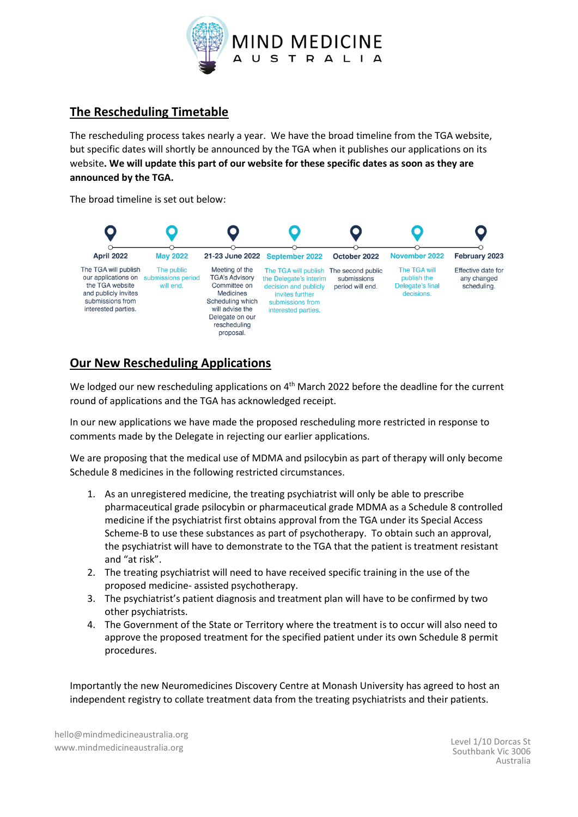

#### **The Rescheduling Timetable**

The rescheduling process takes nearly a year. We have the broad timeline from the TGA website, but specific dates will shortly be announced by the TGA when it publishes our applications on its website**. We will update this part of our website for these specific dates as soon as they are announced by the TGA.**

The broad timeline is set out below:



### **Our New Rescheduling Applications**

We lodged our new rescheduling applications on 4<sup>th</sup> March 2022 before the deadline for the current round of applications and the TGA has acknowledged receipt.

In our new applications we have made the proposed rescheduling more restricted in response to comments made by the Delegate in rejecting our earlier applications.

We are proposing that the medical use of MDMA and psilocybin as part of therapy will only become Schedule 8 medicines in the following restricted circumstances.

- 1. As an unregistered medicine, the treating psychiatrist will only be able to prescribe pharmaceutical grade psilocybin or pharmaceutical grade MDMA as a Schedule 8 controlled medicine if the psychiatrist first obtains approval from the TGA under its Special Access Scheme-B to use these substances as part of psychotherapy. To obtain such an approval, the psychiatrist will have to demonstrate to the TGA that the patient is treatment resistant and "at risk".
- 2. The treating psychiatrist will need to have received specific training in the use of the proposed medicine- assisted psychotherapy.
- 3. The psychiatrist's patient diagnosis and treatment plan will have to be confirmed by two other psychiatrists.
- 4. The Government of the State or Territory where the treatment is to occur will also need to approve the proposed treatment for the specified patient under its own Schedule 8 permit procedures.

Importantly the new Neuromedicines Discovery Centre at Monash University has agreed to host an independent registry to collate treatment data from the treating psychiatrists and their patients.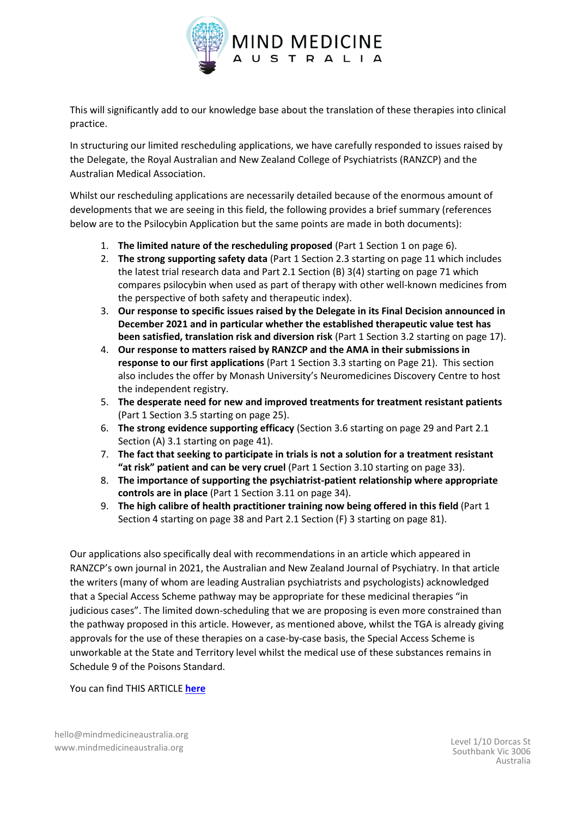

This will significantly add to our knowledge base about the translation of these therapies into clinical practice.

In structuring our limited rescheduling applications, we have carefully responded to issues raised by the Delegate, the Royal Australian and New Zealand College of Psychiatrists (RANZCP) and the Australian Medical Association.

Whilst our rescheduling applications are necessarily detailed because of the enormous amount of developments that we are seeing in this field, the following provides a brief summary (references below are to the Psilocybin Application but the same points are made in both documents):

- 1. **The limited nature of the rescheduling proposed** (Part 1 Section 1 on page 6).
- 2. **The strong supporting safety data** (Part 1 Section 2.3 starting on page 11 which includes the latest trial research data and Part 2.1 Section (B) 3(4) starting on page 71 which compares psilocybin when used as part of therapy with other well-known medicines from the perspective of both safety and therapeutic index).
- 3. **Our response to specific issues raised by the Delegate in its Final Decision announced in December 2021 and in particular whether the established therapeutic value test has been satisfied, translation risk and diversion risk** (Part 1 Section 3.2 starting on page 17).
- 4. **Our response to matters raised by RANZCP and the AMA in their submissions in response to our first applications** (Part 1 Section 3.3 starting on Page 21). This section also includes the offer by Monash University's Neuromedicines Discovery Centre to host the independent registry.
- 5. **The desperate need for new and improved treatments for treatment resistant patients** (Part 1 Section 3.5 starting on page 25).
- 6. **The strong evidence supporting efficacy** (Section 3.6 starting on page 29 and Part 2.1 Section (A) 3.1 starting on page 41).
- 7. **The fact that seeking to participate in trials is not a solution for a treatment resistant "at risk" patient and can be very cruel** (Part 1 Section 3.10 starting on page 33).
- 8. **The importance of supporting the psychiatrist-patient relationship where appropriate controls are in place** (Part 1 Section 3.11 on page 34).
- 9. **The high calibre of health practitioner training now being offered in this field** (Part 1 Section 4 starting on page 38 and Part 2.1 Section (F) 3 starting on page 81).

Our applications also specifically deal with recommendations in an article which appeared in RANZCP's own journal in 2021, the Australian and New Zealand Journal of Psychiatry. In that article the writers (many of whom are leading Australian psychiatrists and psychologists) acknowledged that a Special Access Scheme pathway may be appropriate for these medicinal therapies "in judicious cases". The limited down-scheduling that we are proposing is even more constrained than the pathway proposed in this article. However, as mentioned above, whilst the TGA is already giving approvals for the use of these therapies on a case-by-case basis, the Special Access Scheme is unworkable at the State and Territory level whilst the medical use of these substances remains in Schedule 9 of the Poisons Standard.

You can find THIS ARTICLE **[here](https://journals.sagepub.com/doi/10.1177/0004867421998785)**